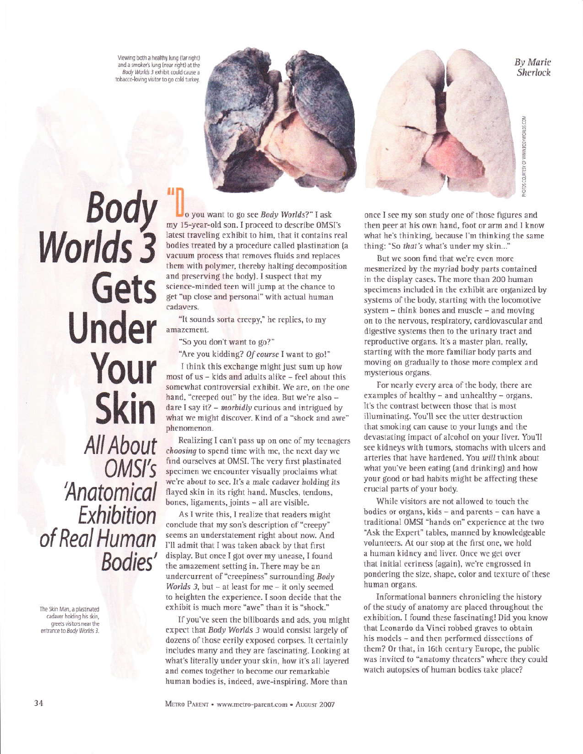Viewing both a healthy lung (far right) and a smoker's lung (near right) at the Body Worlds 3 exhibit could cause a tobacco-loving visitor to go cold turkey.



Body<br>Worlds 3 Gets **Under** Your **Skin** All About OMSI's 'Anatomical Exhibition<br>of Real Human Bodies'

The Skin Man, a plastinated cadaver holding his skin, greets visitors near the entrance to Body Worlds 3.

o you want to go see Body Worlds?" I ask my 15-year-old son. I proceed to describe OMSI's latest traveling exhibit to him, that it contains real bodies treated by a procedure called plastination (a vacuum process that removes fluids and replaces them with polymer, thereby halting decomposition and preserving the body). I suspect that my science-minded teen will jump at the chance to get "up close and personal" with actual human cadavers.

"It sounds sorta creepy," he replies, to my amazement.

"So you don't want to go?"

"Are you kidding? Of course I want to go!"

I think this exchange might just sum up how most of us - kids and adults alike - feel about this somewhat controversial exhibit. We are, on the one hand, "creeped out" by the idea. But we're also dare I say it?  $-$  morbidly curious and intrigued by what we might discover. Kind of a "shock and awe" phenomenon.

Realizing I can't pass up on one of my teenagers choosing to spend time with me, the next day we find ourselves at OMSI. The very first plastinated specimen we encounter visually proclaims what we're about to see. It's a male cadaver holding its flayed skin in its right hand. Muscles, tendons, bones, ligaments, joints - all are visible.

As I write this, I realize that readers might conclude that my son's description of "creepy" seems an understatement right about now. And I'll admit that I was taken aback by that first display. But once I got over my unease, I found the amazement setting in. There may be an undercurrent of "creepiness" surrounding Body Worlds 3, but - at least for me - it only seemed to heighten the experience. I soon decide that the exhibit is much more "awe" than it is "shock."

If you've seen the billboards and ads, you might expect that Body Worlds 3 would consist largely of dozens of those eerily exposed corpses. It certainly includes many and they are fascinating. Looking at what's literally under your skin, how it's all layered and comes together to become our remarkable human bodies is, indeed, awe-inspiring. More than



once I see my son study one of those figures and then peer at his own hand, foot or arm and I know what he's thinking, because I'm thinking the same thing: "So that's what's under my skin..."

But we soon find that we're even more mesmerized by the myriad body parts contained in the display cases. The more than 200 human specimens included in the exhibit are organized by systems of the body, starting with the locomotive system - think bones and muscle - and moving on to the nervous, respiratory, cardiovascular and digestive systems then to the urinary tract and reproductive organs. It's a master plan, really, starting with the more familiar body parts and moving on gradually to those more complex and mysterious organs.

For nearly every area of the body, there are examples of healthy - and unhealthy - organs. It's the contrast between those that is most illuminating. You'll see the utter destruction that smoking can cause to your lungs and the devastating impact of alcohol on your liver. You'll see kidneys with tumors, stomachs with ulcers and arteries that have hardened. You will think about what you've been eating (and drinking) and how your good or bad habits might be affecting these crucial parts of your body.

While visitors are not allowed to touch the bodies or organs, kids - and parents - can have a traditional OMSI "hands on" experience at the two "Ask the Expert" tables, manned by knowledgeable volunteers. At our stop at the first one, we hold a human kidney and liver. Once we get over that initial eeriness (again), we're engrossed in pondering the size, shape, color and texture of these human organs.

Informational banners chronicling the history of the study of anatomy are placed throughout the exhibition. I found these fascinating! Did you know that Leonardo da Vinci robbed graves to obtain his models - and then performed dissections of them? Or that, in 16th century Europe, the public was invited to "anatomy theaters" where they could watch autopsies of human bodies take place?